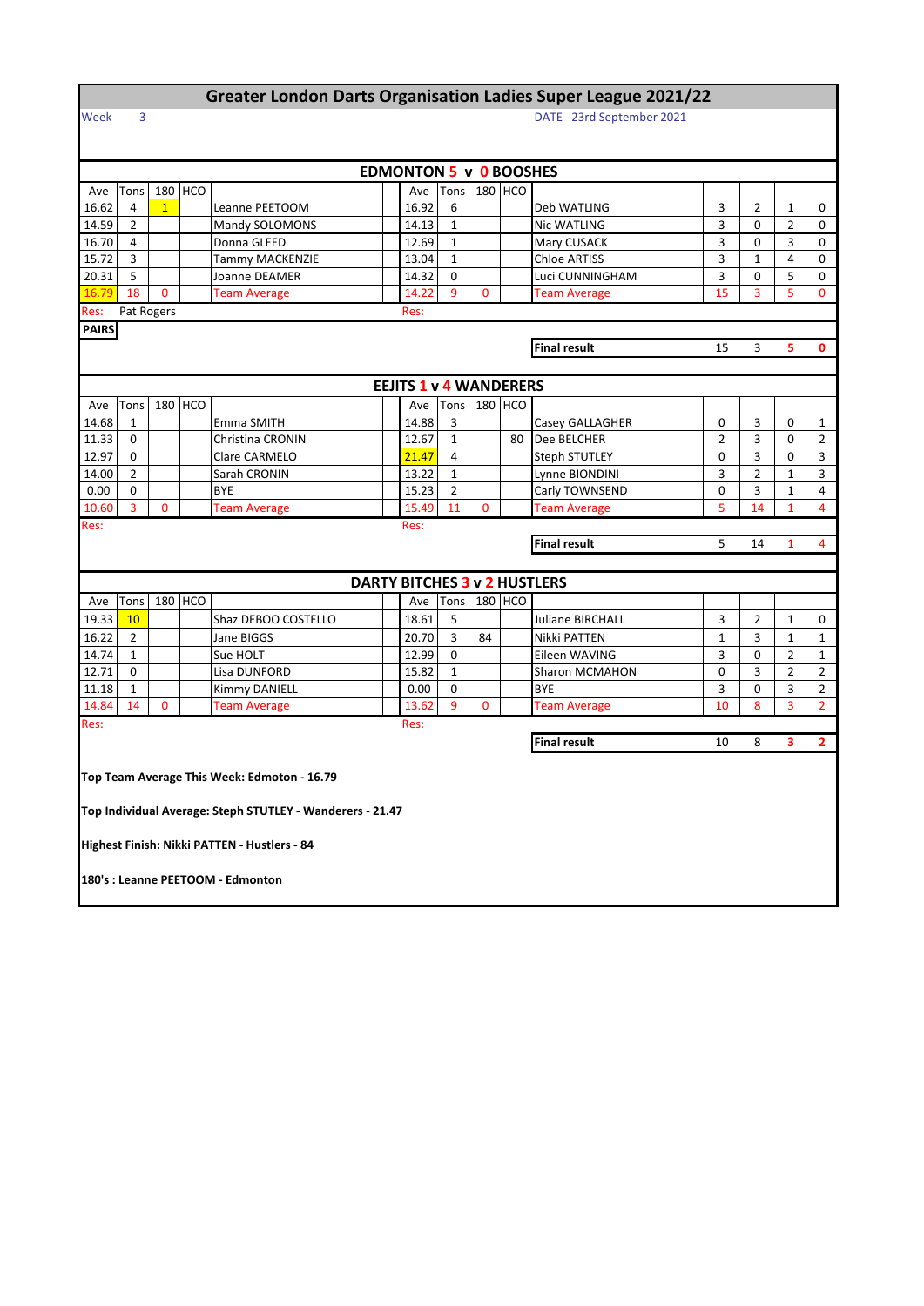## **Greater London Darts Organisation Ladies Super League 2021/22**

## Week 3 DATE 23rd September 2021

|              | <b>EDMONTON 5 v 0 BOOSHES</b> |              |         |                                                           |  |                               |                |              |         |                      |                |                |                |                |
|--------------|-------------------------------|--------------|---------|-----------------------------------------------------------|--|-------------------------------|----------------|--------------|---------|----------------------|----------------|----------------|----------------|----------------|
| Ave          | Tons                          |              | 180 HCO |                                                           |  |                               | Ave Tons       | 180 HCO      |         |                      |                |                |                |                |
| 16.62        | 4                             | $\mathbf{1}$ |         | Leanne PEETOOM                                            |  | 16.92                         | 6              |              |         | Deb WATLING          | 3              | 2              | $\mathbf{1}$   | 0              |
| 14.59        | $\overline{2}$                |              |         | Mandy SOLOMONS                                            |  | 14.13                         | $\mathbf{1}$   |              |         | <b>Nic WATLING</b>   | 3              | 0              | $\overline{2}$ | 0              |
| 16.70        | 4                             |              |         | Donna GLEED                                               |  | 12.69                         | $\mathbf{1}$   |              |         | Mary CUSACK          | 3              | 0              | 3              | 0              |
| 15.72        | 3                             |              |         | Tammy MACKENZIE                                           |  | 13.04                         | $\mathbf{1}$   |              |         | <b>Chloe ARTISS</b>  | 3              | $\mathbf{1}$   | 4              | $\Omega$       |
| 20.31        | 5                             |              |         | Joanne DEAMER                                             |  | 14.32                         | 0              |              |         | Luci CUNNINGHAM      | 3              | 0              | 5              | 0              |
| 16.79        | 18                            | $\mathbf{0}$ |         | <b>Team Average</b>                                       |  | 14.22                         | 9              | $\mathbf{0}$ |         | <b>Team Average</b>  | 15             | 3              | 5              | $\Omega$       |
| Res:         | Pat Rogers                    |              |         |                                                           |  | Res:                          |                |              |         |                      |                |                |                |                |
| <b>PAIRS</b> |                               |              |         |                                                           |  |                               |                |              |         |                      |                |                |                |                |
|              |                               |              |         |                                                           |  | <b>Final result</b>           | 15             | 3            | 5.      | $\mathbf{0}$         |                |                |                |                |
|              |                               |              |         |                                                           |  |                               |                |              |         |                      |                |                |                |                |
|              |                               |              |         |                                                           |  | <b>EEJITS 1 v 4 WANDERERS</b> |                |              |         |                      |                |                |                |                |
| Ave          | Tons                          |              | 180 HCO |                                                           |  | Ave Tons                      |                |              | 180 HCO |                      |                |                |                |                |
| 14.68        | 1                             |              |         | Emma SMITH                                                |  | 14.88                         | 3              |              |         | Casey GALLAGHER      | 0              | 3              | 0              | 1              |
| 11.33        | 0                             |              |         | Christina CRONIN                                          |  | 12.67                         | $\mathbf{1}$   |              | 80      | Dee BELCHER          | $\overline{2}$ | 3              | 0              | $\overline{2}$ |
| 12.97        | 0                             |              |         | Clare CARMELO                                             |  | 21.47                         | 4              |              |         | <b>Steph STUTLEY</b> | 0              | 3              | 0              | 3              |
| 14.00        | $\overline{2}$                |              |         | Sarah CRONIN                                              |  | 13.22                         | $\mathbf{1}$   |              |         | Lynne BIONDINI       | 3              | $\overline{2}$ | $\mathbf{1}$   | 3              |
| 0.00         | $\Omega$                      |              |         | <b>BYE</b>                                                |  | 15.23                         | $\overline{2}$ |              |         | Carly TOWNSEND       | 0              | 3              | $\mathbf{1}$   | 4              |
| 10.60        | 3                             | 0            |         | <b>Team Average</b>                                       |  | 15.49                         | 11             | 0            |         | <b>Team Average</b>  | 5              | 14             | 1              | 4              |
| Res:         | Res:                          |              |         |                                                           |  |                               |                |              |         |                      |                |                |                |                |
|              |                               |              |         |                                                           |  |                               |                |              |         | <b>Final result</b>  | 5              | 14             | 1              | 4              |
|              |                               |              |         |                                                           |  |                               |                |              |         |                      |                |                |                |                |
|              |                               |              |         |                                                           |  | DARTY BITCHES 3 v 2 HUSTLERS  |                |              |         |                      |                |                |                |                |
| Ave          | Tons                          |              | 180 HCO |                                                           |  | Ave                           | Tons           |              | 180 HCO |                      |                |                |                |                |
| 19.33        | 10                            |              |         | Shaz DEBOO COSTELLO                                       |  | 18.61                         | 5              |              |         | Juliane BIRCHALL     | 3              | 2              | 1              | 0              |
| 16.22        | $\overline{2}$                |              |         | Jane BIGGS                                                |  | 20.70                         | 3              | 84           |         | Nikki PATTEN         | $\mathbf 1$    | 3              | $\mathbf{1}$   | 1              |
| 14.74        | 1                             |              |         | Sue HOLT                                                  |  | 12.99                         | 0              |              |         | Eileen WAVING        | 3              | 0              | 2              | $\mathbf{1}$   |
| 12.71        | $\Omega$                      |              |         | Lisa DUNFORD                                              |  | 15.82                         | $\mathbf{1}$   |              |         | Sharon MCMAHON       | 0              | 3              | $\overline{2}$ | $\overline{2}$ |
| 11.18        | $\mathbf{1}$                  |              |         | Kimmy DANIELL                                             |  | 0.00                          | 0              |              |         | <b>BYE</b>           | 3              | 0              | 3              | $\overline{2}$ |
| 14.84        | 14                            | 0            |         | <b>Team Average</b>                                       |  | 13.62                         | 9              | 0            |         | <b>Team Average</b>  | 10             | 8              | 3              | $\overline{2}$ |
| Res:         |                               |              |         |                                                           |  | Res:                          |                |              |         |                      |                |                |                |                |
|              |                               |              |         |                                                           |  |                               |                |              |         | <b>Final result</b>  | 10             | 8              | 3              | $\overline{2}$ |
|              |                               |              |         |                                                           |  |                               |                |              |         |                      |                |                |                |                |
|              |                               |              |         | Top Team Average This Week: Edmoton - 16.79               |  |                               |                |              |         |                      |                |                |                |                |
|              |                               |              |         |                                                           |  |                               |                |              |         |                      |                |                |                |                |
|              |                               |              |         | Top Individual Average: Steph STUTLEY - Wanderers - 21.47 |  |                               |                |              |         |                      |                |                |                |                |
|              |                               |              |         |                                                           |  |                               |                |              |         |                      |                |                |                |                |
|              |                               |              |         | Highest Finish: Nikki PATTEN - Hustlers - 84              |  |                               |                |              |         |                      |                |                |                |                |
|              |                               |              |         |                                                           |  |                               |                |              |         |                      |                |                |                |                |
|              |                               |              |         | 180's : Leanne PEETOOM - Edmonton                         |  |                               |                |              |         |                      |                |                |                |                |
|              |                               |              |         |                                                           |  |                               |                |              |         |                      |                |                |                |                |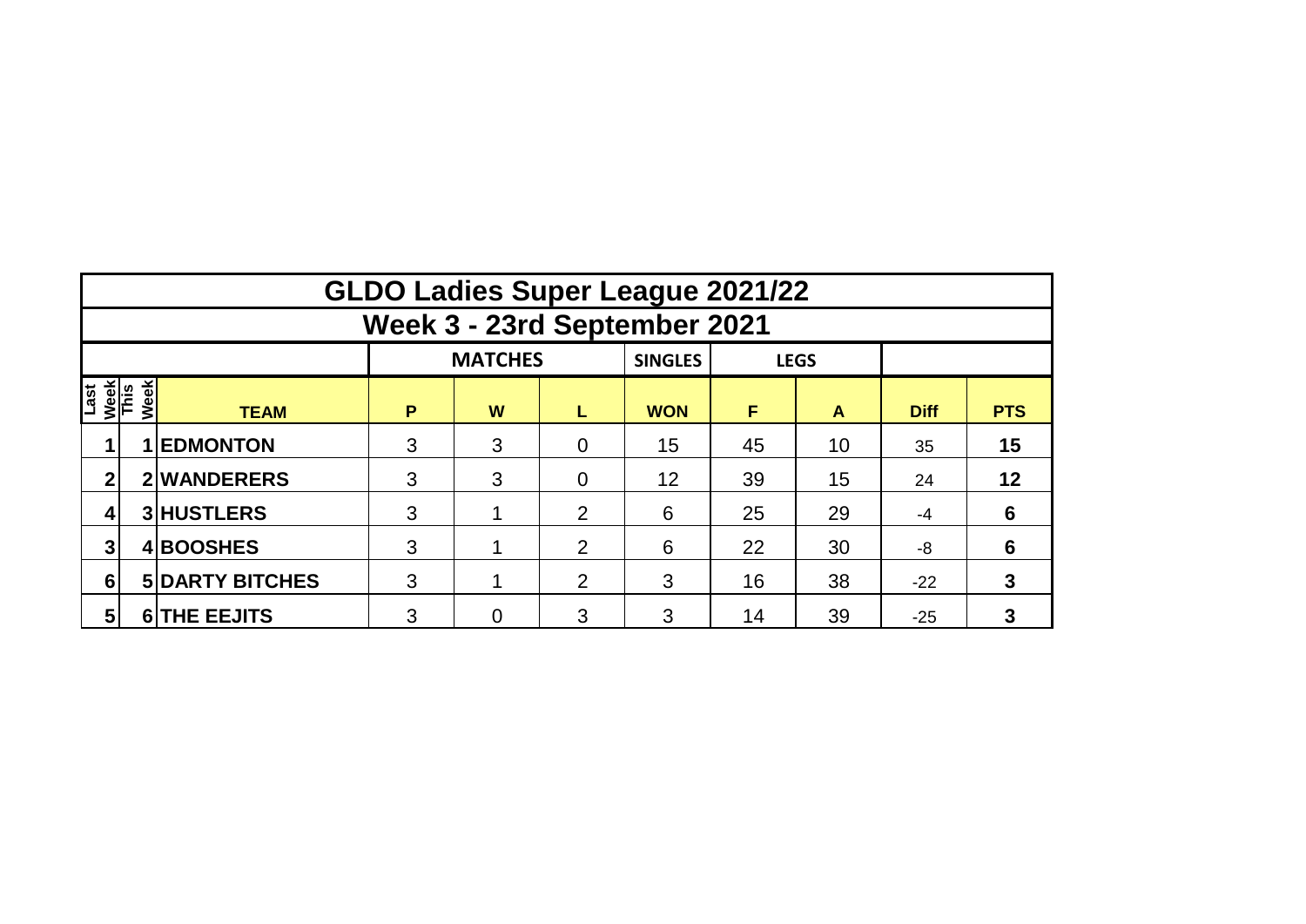|                             | <b>GLDO Ladies Super League 2021/22</b> |                        |   |                |                |                |    |             |             |            |  |  |  |  |  |
|-----------------------------|-----------------------------------------|------------------------|---|----------------|----------------|----------------|----|-------------|-------------|------------|--|--|--|--|--|
|                             | Week 3 - 23rd September 2021            |                        |   |                |                |                |    |             |             |            |  |  |  |  |  |
|                             |                                         |                        |   | <b>MATCHES</b> |                | <b>SINGLES</b> |    | <b>LEGS</b> |             |            |  |  |  |  |  |
| Last<br><u>Week</u><br>This | Week                                    | <b>TEAM</b>            | P | W              | L              | <b>WON</b>     | F  | A           | <b>Diff</b> | <b>PTS</b> |  |  |  |  |  |
|                             |                                         | <b>1 EDMONTON</b>      | 3 | 3              | 0              | 15             | 45 | 10          | 35          | 15         |  |  |  |  |  |
| 2                           |                                         | 2 WANDERERS            | 3 | 3              | 0              | 12             | 39 | 15          | 24          | 12         |  |  |  |  |  |
|                             |                                         | <b>3 HUSTLERS</b>      | 3 |                | $\overline{2}$ | 6              | 25 | 29          | $-4$        | 6          |  |  |  |  |  |
| 3                           |                                         | 4BOOSHES               | 3 |                | $\overline{2}$ | 6              | 22 | 30          | $-8$        | 6          |  |  |  |  |  |
| 6                           |                                         | <b>5 DARTY BITCHES</b> | 3 |                | $\overline{2}$ | 3              | 16 | 38          | $-22$       | 3          |  |  |  |  |  |
| 5 <sub>1</sub>              |                                         | <b>6 THE EEJITS</b>    | 3 | 0              | 3              | 3              | 14 | 39          | $-25$       | 3          |  |  |  |  |  |